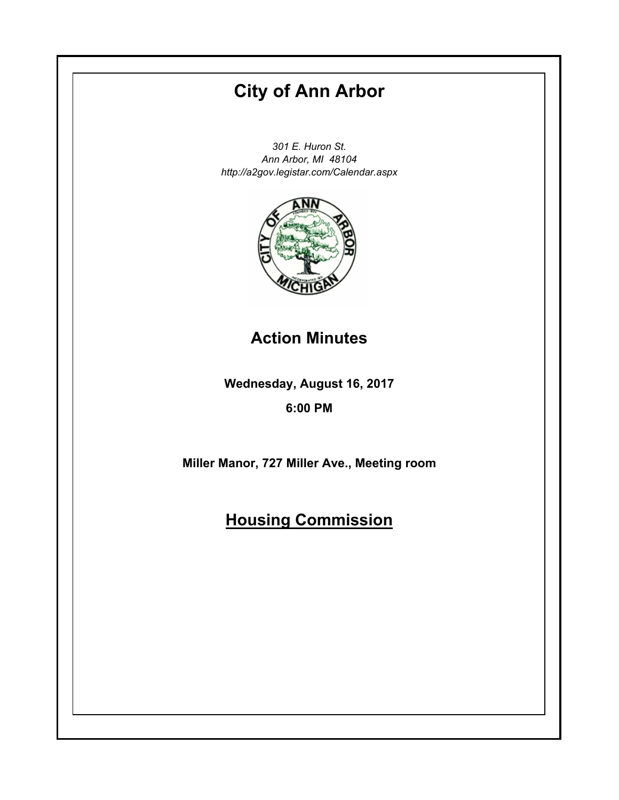# **City of Ann Arbor**

*301 E. Huron St. Ann Arbor, MI 48104 http://a2gov.legistar.com/Calendar.aspx*



**Action Minutes**

**Wednesday, August 16, 2017**

**6:00 PM**

**Miller Manor, 727 Miller Ave., Meeting room**

# **Housing Commission**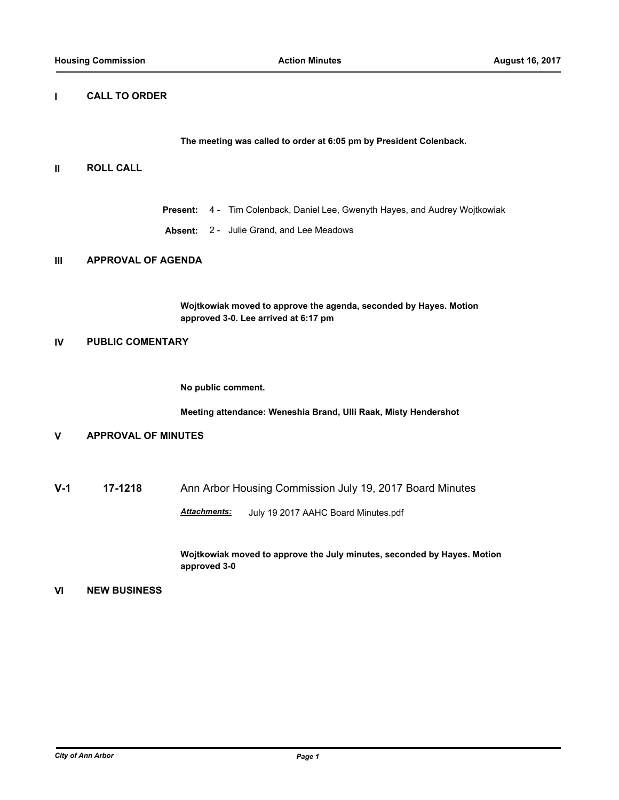# **I CALL TO ORDER**

**The meeting was called to order at 6:05 pm by President Colenback.**

### **II ROLL CALL**

- **Present:** 4 Tim Colenback, Daniel Lee, Gwenyth Hayes, and Audrey Wojtkowiak
- **Absent:** 2 Julie Grand, and Lee Meadows

# **III APPROVAL OF AGENDA**

**Wojtkowiak moved to approve the agenda, seconded by Hayes. Motion approved 3-0. Lee arrived at 6:17 pm**

### **IV PUBLIC COMENTARY**

**No public comment.** 

**Meeting attendance: Weneshia Brand, Ulli Raak, Misty Hendershot**

# **V APPROVAL OF MINUTES**

**V-1 17-1218** Ann Arbor Housing Commission July 19, 2017 Board Minutes

*Attachments:* July 19 2017 AAHC Board Minutes.pdf

**Wojtkowiak moved to approve the July minutes, seconded by Hayes. Motion approved 3-0**

#### **VI NEW BUSINESS**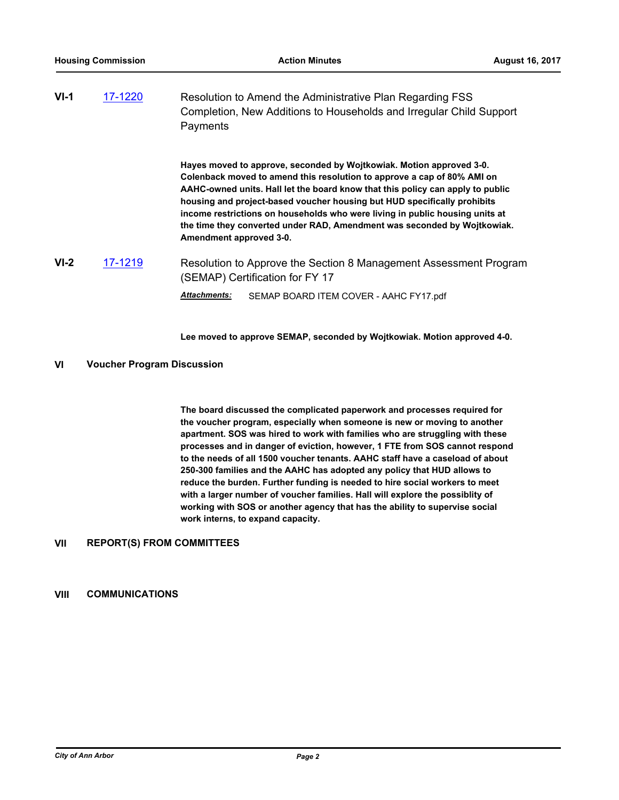| $VI-1$ | 17-1220 | Resolution to Amend the Administrative Plan Regarding FSS           |  |
|--------|---------|---------------------------------------------------------------------|--|
|        |         | Completion, New Additions to Households and Irregular Child Support |  |
|        |         | Payments                                                            |  |

**Hayes moved to approve, seconded by Wojtkowiak. Motion approved 3-0. Colenback moved to amend this resolution to approve a cap of 80% AMI on AAHC-owned units. Hall let the board know that this policy can apply to public housing and project-based voucher housing but HUD specifically prohibits income restrictions on households who were living in public housing units at the time they converted under RAD, Amendment was seconded by Wojtkowiak. Amendment approved 3-0.**

**VI-2** [17-1219](http://a2gov.legistar.com/gateway.aspx/matter.aspx?key=17806) Resolution to Approve the Section 8 Management Assessment Program (SEMAP) Certification for FY 17

*Attachments:* SEMAP BOARD ITEM COVER - AAHC FY17.pdf

**Lee moved to approve SEMAP, seconded by Wojtkowiak. Motion approved 4-0.**

#### **VI Voucher Program Discussion**

**The board discussed the complicated paperwork and processes required for the voucher program, especially when someone is new or moving to another apartment. SOS was hired to work with families who are struggling with these processes and in danger of eviction, however, 1 FTE from SOS cannot respond to the needs of all 1500 voucher tenants. AAHC staff have a caseload of about 250-300 families and the AAHC has adopted any policy that HUD allows to reduce the burden. Further funding is needed to hire social workers to meet with a larger number of voucher families. Hall will explore the possiblity of working with SOS or another agency that has the ability to supervise social work interns, to expand capacity.**

#### **VII REPORT(S) FROM COMMITTEES**

### **VIII COMMUNICATIONS**